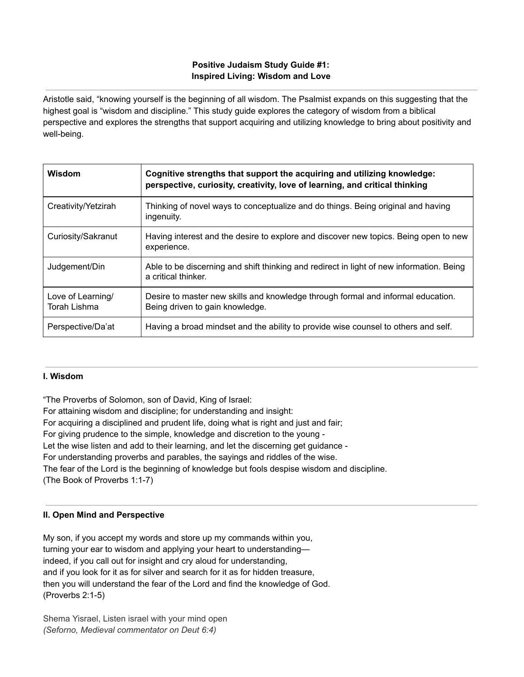## **Positive Judaism Study Guide #1: Inspired Living: Wisdom and Love**

Aristotle said, "knowing yourself is the beginning of all wisdom. The Psalmist expands on this suggesting that the highest goal is "wisdom and discipline." This study guide explores the category of wisdom from a biblical perspective and explores the strengths that support acquiring and utilizing knowledge to bring about positivity and well-being.

| Wisdom                                   | Cognitive strengths that support the acquiring and utilizing knowledge:<br>perspective, curiosity, creativity, love of learning, and critical thinking |
|------------------------------------------|--------------------------------------------------------------------------------------------------------------------------------------------------------|
| Creativity/Yetzirah                      | Thinking of novel ways to conceptualize and do things. Being original and having<br>ingenuity.                                                         |
| Curiosity/Sakranut                       | Having interest and the desire to explore and discover new topics. Being open to new<br>experience.                                                    |
| Judgement/Din                            | Able to be discerning and shift thinking and redirect in light of new information. Being<br>a critical thinker.                                        |
| Love of Learning/<br><b>Torah Lishma</b> | Desire to master new skills and knowledge through formal and informal education.<br>Being driven to gain knowledge.                                    |
| Perspective/Da'at                        | Having a broad mindset and the ability to provide wise counsel to others and self.                                                                     |

## **I. Wisdom**

"The Proverbs of Solomon, son of David, King of Israel:

For attaining wisdom and discipline; for understanding and insight:

For acquiring a disciplined and prudent life, doing what is right and just and fair;

For giving prudence to the simple, knowledge and discretion to the young -

Let the wise listen and add to their learning, and let the discerning get guidance -

For understanding proverbs and parables, the sayings and riddles of the wise.

The fear of the Lord is the beginning of knowledge but fools despise wisdom and discipline.

(The Book of Proverbs 1:1-7)

# **II. Open Mind and Perspective**

My son, if you accept my words and store up my commands within you, turning your ear to wisdom and applying your heart to understanding indeed, if you call out for insight and cry aloud for understanding, and if you look for it as for silver and search for it as for hidden treasure, then you will understand the fear of the Lord and find the knowledge of God. (Proverbs 2:1-5)

Shema Yisrael, Listen israel with your mind open *(Seforno, Medieval commentator on Deut 6:4)*